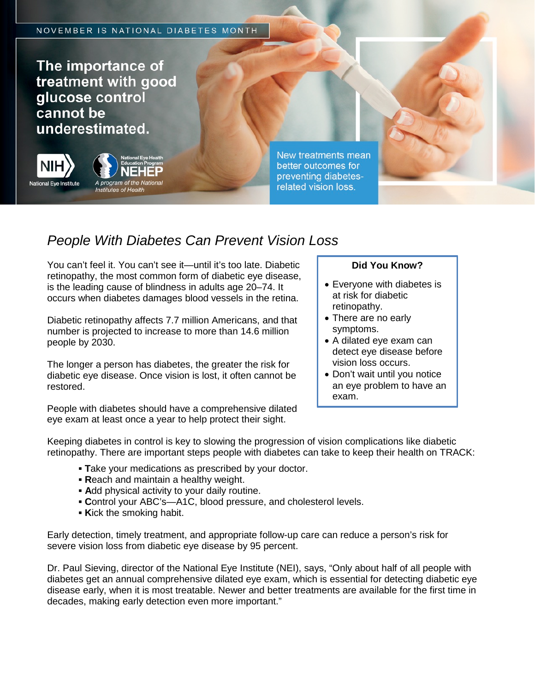The importance of treatment with good glucose control cannot be underestimated.



**Institutes of Health** 

New treatments mean better outcomes for preventing diabetesrelated vision loss.

## *People With Diabetes Can Prevent Vision Loss*

You can't feel it. You can't see it—until it's too late. Diabetic retinopathy, the most common form of diabetic eye disease, is the leading cause of blindness in adults age 20–74. It occurs when diabetes damages blood vessels in the retina.

Diabetic retinopathy affects 7.7 million Americans, and that number is projected to increase to more than 14.6 million people by 2030.

The longer a person has diabetes, the greater the risk for diabetic eye disease. Once vision is lost, it often cannot be restored.

## **Did You Know?**

- Everyone with diabetes is at risk for diabetic retinopathy.
- There are no early symptoms.
- A dilated eye exam can detect eye disease before vision loss occurs.
- Don't wait until you notice an eye problem to have an exam.

People with diabetes should have a comprehensive dilated eye exam at least once a year to help protect their sight.

Keeping diabetes in control is key to slowing the progression of vision complications like diabetic retinopathy. There are important steps people with diabetes can take to keep their health on TRACK:

- **▪ T**ake your medications as prescribed by your doctor.
- **▪ R**each and maintain a healthy weight.
- **▪ A**dd physical activity to your daily routine.
- **▪ C**ontrol your ABC's—A1C, blood pressure, and cholesterol levels.
- **▪ K**ick the smoking habit.

Early detection, timely treatment, and appropriate follow-up care can reduce a person's risk for severe vision loss from diabetic eye disease by 95 percent.

Dr. Paul Sieving, director of the National Eye Institute (NEI), says, "Only about half of all people with diabetes get an annual comprehensive dilated eye exam, which is essential for detecting diabetic eye disease early, when it is most treatable. Newer and better treatments are available for the first time in decades, making early detection even more important."